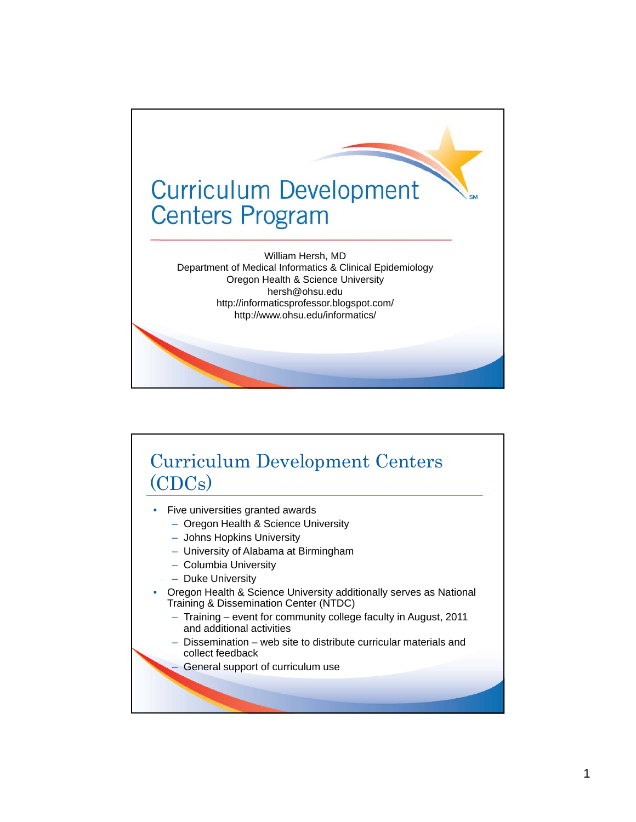

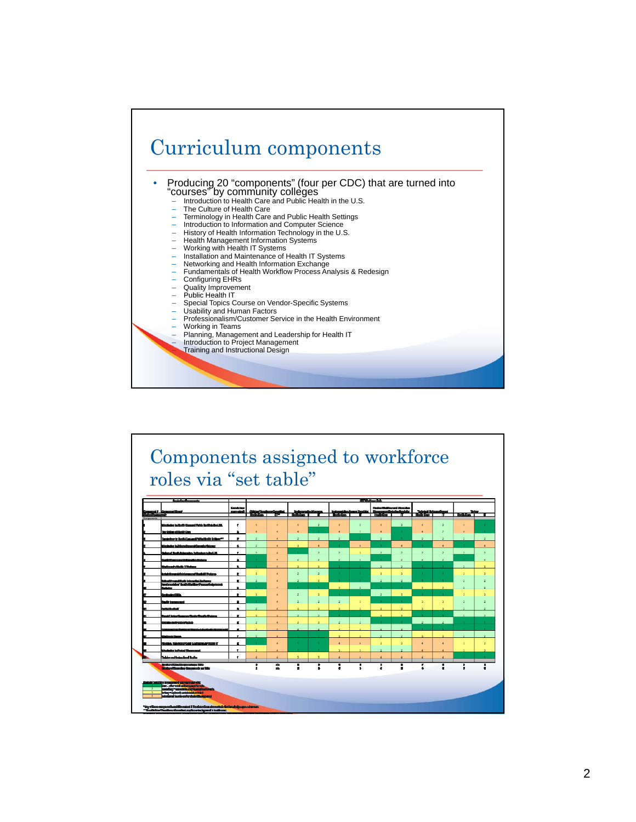

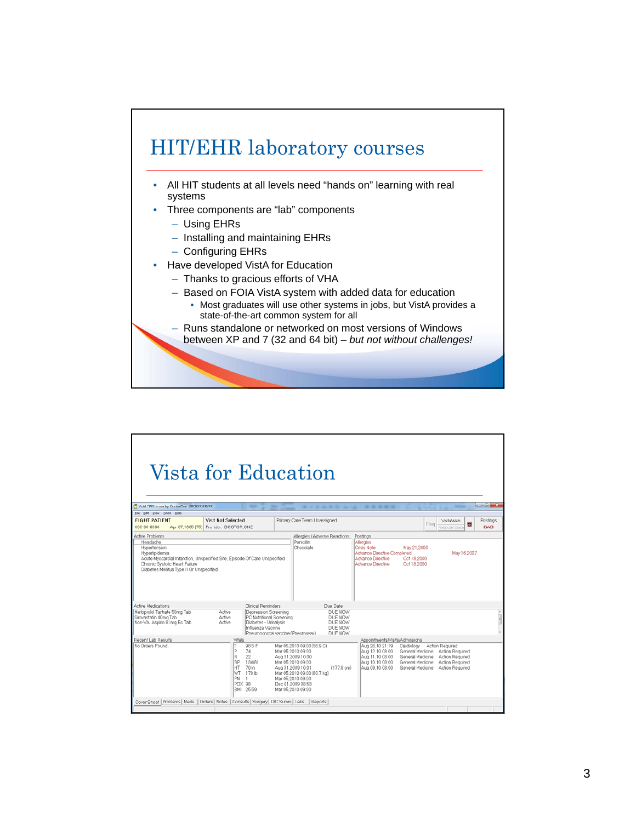

- All HIT students at all levels need "hands on" learning with real systems
- Three components are "lab" components
	- Using EHRs
	- Installing and maintaining EHRs
	- Configuring EHRs
- Have developed VistA for Education
	- Thanks to gracious efforts of VHA
	- Based on FOIA VistA system with added data for education
		- Most graduates will use other systems in jobs, but VistA provides a state-of-the-art common system for all
	- Runs standalone or networked on most versions of Windows between XP and 7 (32 and 64 bit) – *but not without challenges!*

| Vista for Education                                                                                                                                                                                                                                          |                                                                                            |                                                                                                |                                                                                                                                                                                                              |                                                     |                                                                                                                      |                                                                                                                                            |                                    |                                                                                                                                                                                                                                                                                                                                                                                                                                                         |
|--------------------------------------------------------------------------------------------------------------------------------------------------------------------------------------------------------------------------------------------------------------|--------------------------------------------------------------------------------------------|------------------------------------------------------------------------------------------------|--------------------------------------------------------------------------------------------------------------------------------------------------------------------------------------------------------------|-----------------------------------------------------|----------------------------------------------------------------------------------------------------------------------|--------------------------------------------------------------------------------------------------------------------------------------------|------------------------------------|---------------------------------------------------------------------------------------------------------------------------------------------------------------------------------------------------------------------------------------------------------------------------------------------------------------------------------------------------------------------------------------------------------------------------------------------------------|
| VistA CPRS in use by: Doctor, One (BROKERSERVER)                                                                                                                                                                                                             |                                                                                            | -                                                                                              |                                                                                                                                                                                                              | <b>.</b>                                            |                                                                                                                      |                                                                                                                                            | <b>STATISTICS</b>                  | $\begin{array}{c c c c c} \hline \multicolumn{1}{c }{\multicolumn{1}{c }{\multicolumn{1}{c }{\multicolumn{1}{c }{\multicolumn{1}{c }{\multicolumn{1}{c }{\multicolumn{1}{c }{\multicolumn{1}{c }{\multicolumn{1}{c }{\multicolumn{1}{c }{\multicolumn{1}{c }{\multicolumn{1}{c }{\multicolumn{1}{c }{\multicolumn{1}{c }{\multicolumn{1}{c }{\multicolumn{1}{c }{\multicolumn{1}{c }{\multicolumn{1}{c }{\multicolumn{1}{c }{\multicolumn{1}{c }{\mult$ |
| Eile Edit View Tools Help<br><b>EIGHT PATIENT</b>                                                                                                                                                                                                            | Visit Not Selected                                                                         |                                                                                                | Primary Care Team Unassigned                                                                                                                                                                                 |                                                     |                                                                                                                      |                                                                                                                                            |                                    | Postings                                                                                                                                                                                                                                                                                                                                                                                                                                                |
| 600-00-000                                                                                                                                                                                                                                                   | Apr 07,1935 (75) Provider: DOCTOR, ONE                                                     |                                                                                                |                                                                                                                                                                                                              |                                                     |                                                                                                                      | Flag                                                                                                                                       | VistaWeb<br>a<br>Remote Dat        | CAD                                                                                                                                                                                                                                                                                                                                                                                                                                                     |
| <b>Active Problems</b><br>Headache<br>Hypertension<br>Hyperlipidemia<br>Acute Myocardial Infarction, Unspecified Site, Episode Of Care Unspecified<br>Chronic Systolic Heart Failure<br>Diabetes Melitus Type II Or Unspecified<br><b>Active Medications</b> |                                                                                            | Clinical Reminders                                                                             | Penicillin<br>Chocolate                                                                                                                                                                                      | Allergies / Adverse Reactions<br>Due Date           | Postings<br>Allergies<br>Crisis Note<br>Advance Directive Completed<br>Advance Directive<br><b>Advance Directive</b> | May 21.2000<br>Oct 18,2000<br>Oct 18 2000                                                                                                  | May 16,2007                        |                                                                                                                                                                                                                                                                                                                                                                                                                                                         |
| Metoprolol Tartrate 50mg Tab<br>Simvastatin 40mg Tab<br>Non-VA Aspirin 81mg Ec Tab                                                                                                                                                                           | Active<br>Active<br>Active                                                                 | Depression Screening<br>PC Nutritional Screening<br>Diabetes - Urinalysis<br>Influenza Vaccine | Pneumococcal vaccine (Pneumovax)                                                                                                                                                                             | DUE NOW<br>DUE NOW<br>DUE NOW<br>DUE NOW<br>DUE NOW |                                                                                                                      |                                                                                                                                            |                                    |                                                                                                                                                                                                                                                                                                                                                                                                                                                         |
| Recent Lab Results                                                                                                                                                                                                                                           | Vitals                                                                                     |                                                                                                |                                                                                                                                                                                                              |                                                     | Appointments/Visits/Admissions                                                                                       |                                                                                                                                            |                                    |                                                                                                                                                                                                                                                                                                                                                                                                                                                         |
| No Orders Found.                                                                                                                                                                                                                                             | т<br>IP<br>74<br>lR.<br>22<br>IBP.<br>lнт<br><b>WT</b><br>PN<br>-1.<br>POX 98<br>RMI 25.59 | 98.5 F<br>134/81<br>70 in<br>178 lb                                                            | Mar 05.2010 09:00 (36.9 C)<br>Mar 05.2010 09:00<br>Aug 31.2009 10:00<br>Mar 05.2010 09:00<br>Aug 31,2009 10:01<br>Mar 05.2010 09:00 (80.7 kg)<br>Mar 05.2010 09:00<br>Dec 01.2009 08:53<br>Mar 05.2010 09:00 | $(177.8 \text{ cm})$                                | Aug 26.10 21:19<br>Aug 12.10 08:00<br>Aug 11.10 08:00<br>Aug 10.10 08:00<br>Aug 09.10 08:00                          | Cardiology Action Required<br>General Medicine Action Required<br>General Medicine<br>General Medicine Action Required<br>General Medicine | Action Required<br>Action Required |                                                                                                                                                                                                                                                                                                                                                                                                                                                         |
| Cover Sheet   Problems   Meds   Orders   Notes   Consults   Surgery   D/C Summ   Labs   Reports                                                                                                                                                              |                                                                                            |                                                                                                |                                                                                                                                                                                                              |                                                     |                                                                                                                      |                                                                                                                                            |                                    |                                                                                                                                                                                                                                                                                                                                                                                                                                                         |